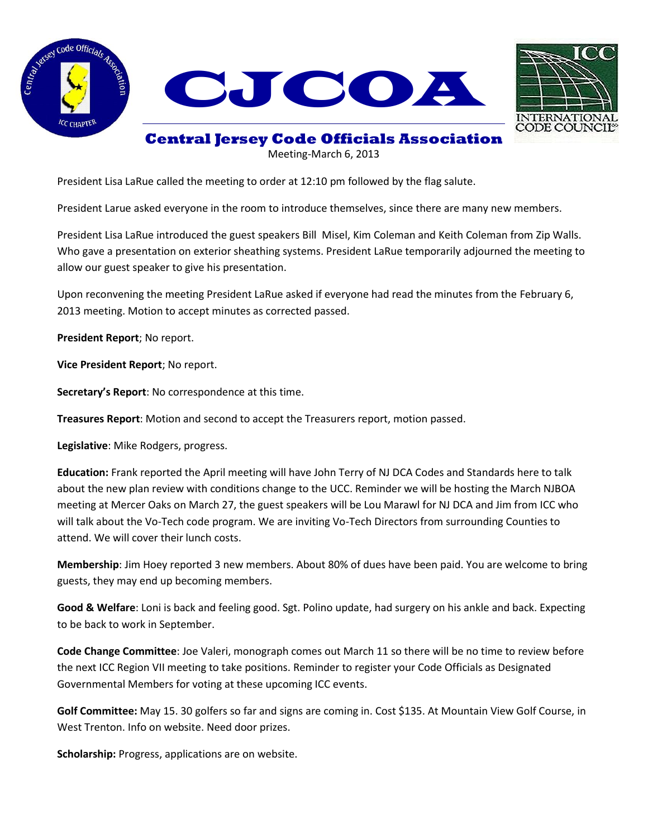





## **Central Jersey Code Officials Association**

Meeting-March 6, 2013

President Lisa LaRue called the meeting to order at 12:10 pm followed by the flag salute.

President Larue asked everyone in the room to introduce themselves, since there are many new members.

President Lisa LaRue introduced the guest speakers Bill Misel, Kim Coleman and Keith Coleman from Zip Walls. Who gave a presentation on exterior sheathing systems. President LaRue temporarily adjourned the meeting to allow our guest speaker to give his presentation.

Upon reconvening the meeting President LaRue asked if everyone had read the minutes from the February 6, 2013 meeting. Motion to accept minutes as corrected passed.

**President Report**; No report.

**Vice President Report**; No report.

**Secretary's Report**: No correspondence at this time.

**Treasures Report**: Motion and second to accept the Treasurers report, motion passed.

**Legislative**: Mike Rodgers, progress.

**Education:** Frank reported the April meeting will have John Terry of NJ DCA Codes and Standards here to talk about the new plan review with conditions change to the UCC. Reminder we will be hosting the March NJBOA meeting at Mercer Oaks on March 27, the guest speakers will be Lou Marawl for NJ DCA and Jim from ICC who will talk about the Vo-Tech code program. We are inviting Vo-Tech Directors from surrounding Counties to attend. We will cover their lunch costs.

**Membership**: Jim Hoey reported 3 new members. About 80% of dues have been paid. You are welcome to bring guests, they may end up becoming members.

**Good & Welfare**: Loni is back and feeling good. Sgt. Polino update, had surgery on his ankle and back. Expecting to be back to work in September.

**Code Change Committee**: Joe Valeri, monograph comes out March 11 so there will be no time to review before the next ICC Region VII meeting to take positions. Reminder to register your Code Officials as Designated Governmental Members for voting at these upcoming ICC events.

**Golf Committee:** May 15. 30 golfers so far and signs are coming in. Cost \$135. At Mountain View Golf Course, in West Trenton. Info on website. Need door prizes.

**Scholarship:** Progress, applications are on website.